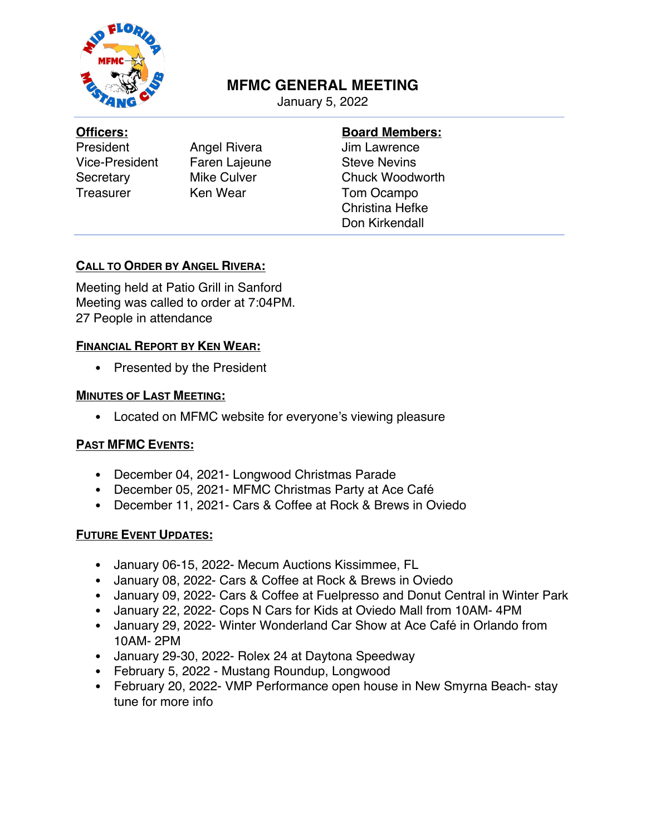

# **MFMC GENERAL MEETING**

January 5, 2022

#### **Officers:**

President Angel Rivera Vice-President Faren Lajeune Secretary Mike Culver Treasurer Ken Wear

## **Board Members:**

Jim Lawrence Steve Nevins Chuck Woodworth Tom Ocampo Christina Hefke Don Kirkendall

## **CALL TO ORDER BY ANGEL RIVERA:**

Meeting held at Patio Grill in Sanford Meeting was called to order at 7:04PM. 27 People in attendance

### **FINANCIAL REPORT BY KEN WEAR:**

• Presented by the President

#### **MINUTES OF LAST MEETING:**

• Located on MFMC website for everyone's viewing pleasure

## **PAST MFMC EVENTS:**

- December 04, 2021- Longwood Christmas Parade
- December 05, 2021- MFMC Christmas Party at Ace Café
- December 11, 2021- Cars & Coffee at Rock & Brews in Oviedo

## **FUTURE EVENT UPDATES:**

- January 06-15, 2022- Mecum Auctions Kissimmee, FL
- January 08, 2022- Cars & Coffee at Rock & Brews in Oviedo
- January 09, 2022- Cars & Coffee at Fuelpresso and Donut Central in Winter Park
- January 22, 2022- Cops N Cars for Kids at Oviedo Mall from 10AM- 4PM
- January 29, 2022- Winter Wonderland Car Show at Ace Café in Orlando from 10AM- 2PM
- January 29-30, 2022- Rolex 24 at Daytona Speedway
- February 5, 2022 Mustang Roundup, Longwood
- February 20, 2022- VMP Performance open house in New Smyrna Beach- stay tune for more info